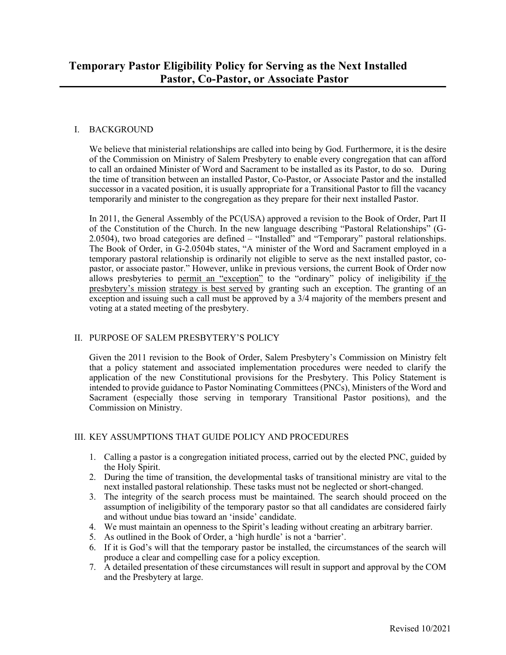### I. BACKGROUND

We believe that ministerial relationships are called into being by God. Furthermore, it is the desire of the Commission on Ministry of Salem Presbytery to enable every congregation that can afford to call an ordained Minister of Word and Sacrament to be installed as its Pastor, to do so. During the time of transition between an installed Pastor, Co-Pastor, or Associate Pastor and the installed successor in a vacated position, it is usually appropriate for a Transitional Pastor to fill the vacancy temporarily and minister to the congregation as they prepare for their next installed Pastor.

In 2011, the General Assembly of the PC(USA) approved a revision to the Book of Order, Part II of the Constitution of the Church. In the new language describing "Pastoral Relationships" (G-2.0504), two broad categories are defined – "Installed" and "Temporary" pastoral relationships. The Book of Order, in G-2.0504b states, "A minister of the Word and Sacrament employed in a temporary pastoral relationship is ordinarily not eligible to serve as the next installed pastor, copastor, or associate pastor." However, unlike in previous versions, the current Book of Order now allows presbyteries to permit an "exception" to the "ordinary" policy of ineligibility if the presbytery's mission strategy is best served by granting such an exception. The granting of an exception and issuing such a call must be approved by a 3/4 majority of the members present and voting at a stated meeting of the presbytery.

# II. PURPOSE OF SALEM PRESBYTERY'S POLICY

Given the 2011 revision to the Book of Order, Salem Presbytery's Commission on Ministry felt that a policy statement and associated implementation procedures were needed to clarify the application of the new Constitutional provisions for the Presbytery. This Policy Statement is intended to provide guidance to Pastor Nominating Committees (PNCs), Ministers of the Word and Sacrament (especially those serving in temporary Transitional Pastor positions), and the Commission on Ministry.

# III. KEY ASSUMPTIONS THAT GUIDE POLICY AND PROCEDURES

- 1. Calling a pastor is a congregation initiated process, carried out by the elected PNC, guided by the Holy Spirit.
- 2. During the time of transition, the developmental tasks of transitional ministry are vital to the next installed pastoral relationship. These tasks must not be neglected or short-changed.
- 3. The integrity of the search process must be maintained. The search should proceed on the assumption of ineligibility of the temporary pastor so that all candidates are considered fairly and without undue bias toward an 'inside' candidate.
- 4. We must maintain an openness to the Spirit's leading without creating an arbitrary barrier.
- 5. As outlined in the Book of Order, a 'high hurdle' is not a 'barrier'.
- 6. If it is God's will that the temporary pastor be installed, the circumstances of the search will produce a clear and compelling case for a policy exception.
- 7. A detailed presentation of these circumstances will result in support and approval by the COM and the Presbytery at large.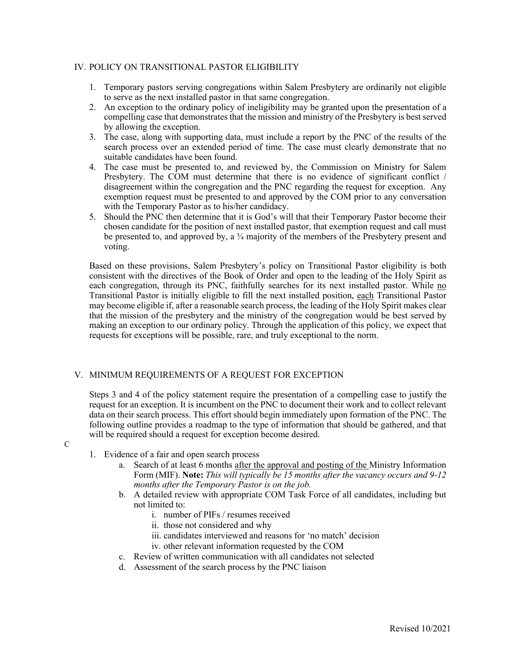#### IV. POLICY ON TRANSITIONAL PASTOR ELIGIBILITY

- 1. Temporary pastors serving congregations within Salem Presbytery are ordinarily not eligible to serve as the next installed pastor in that same congregation.
- 2. An exception to the ordinary policy of ineligibility may be granted upon the presentation of a compelling case that demonstrates that the mission and ministry of the Presbytery is best served by allowing the exception.
- 3. The case, along with supporting data, must include a report by the PNC of the results of the search process over an extended period of time. The case must clearly demonstrate that no suitable candidates have been found.
- 4. The case must be presented to, and reviewed by, the Commission on Ministry for Salem Presbytery. The COM must determine that there is no evidence of significant conflict / disagreement within the congregation and the PNC regarding the request for exception. Any exemption request must be presented to and approved by the COM prior to any conversation with the Temporary Pastor as to his/her candidacy.
- 5. Should the PNC then determine that it is God's will that their Temporary Pastor become their chosen candidate for the position of next installed pastor, that exemption request and call must be presented to, and approved by, a <sup>3</sup>/4 majority of the members of the Presbytery present and voting.

Based on these provisions, Salem Presbytery's policy on Transitional Pastor eligibility is both consistent with the directives of the Book of Order and open to the leading of the Holy Spirit as each congregation, through its PNC, faithfully searches for its next installed pastor. While no Transitional Pastor is initially eligible to fill the next installed position, each Transitional Pastor may become eligible if, after a reasonable search process, the leading of the Holy Spirit makes clear that the mission of the presbytery and the ministry of the congregation would be best served by making an exception to our ordinary policy. Through the application of this policy, we expect that requests for exceptions will be possible, rare, and truly exceptional to the norm.

### V. MINIMUM REQUIREMENTS OF A REQUEST FOR EXCEPTION

Steps 3 and 4 of the policy statement require the presentation of a compelling case to justify the request for an exception. It is incumbent on the PNC to document their work and to collect relevant data on their search process. This effort should begin immediately upon formation of the PNC. The following outline provides a roadmap to the type of information that should be gathered, and that will be required should a request for exception become desired.

- $\mathcal{C}$
- 1. Evidence of a fair and open search process
	- a. Search of at least 6 months after the approval and posting of the Ministry Information Form (MIF). **Note:** *This will typically be 15 months after the vacancy occurs and 9-12 months after the Temporary Pastor is on the job.*
	- b. A detailed review with appropriate COM Task Force of all candidates, including but not limited to:
		- i. number of PIFs / resumes received
		- ii. those not considered and why
		- iii. candidates interviewed and reasons for 'no match' decision
		- iv. other relevant information requested by the COM
	- c. Review of written communication with all candidates not selected
	- d. Assessment of the search process by the PNC liaison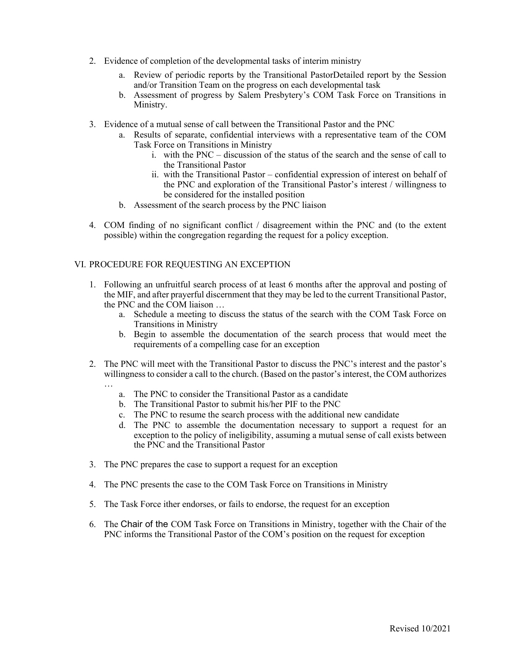- 2. Evidence of completion of the developmental tasks of interim ministry
	- a. Review of periodic reports by the Transitional PastorDetailed report by the Session and/or Transition Team on the progress on each developmental task
	- b. Assessment of progress by Salem Presbytery's COM Task Force on Transitions in Ministry.
- 3. Evidence of a mutual sense of call between the Transitional Pastor and the PNC
	- a. Results of separate, confidential interviews with a representative team of the COM Task Force on Transitions in Ministry
		- i. with the PNC discussion of the status of the search and the sense of call to the Transitional Pastor
		- ii. with the Transitional Pastor confidential expression of interest on behalf of the PNC and exploration of the Transitional Pastor's interest / willingness to be considered for the installed position
	- b. Assessment of the search process by the PNC liaison
- 4. COM finding of no significant conflict / disagreement within the PNC and (to the extent possible) within the congregation regarding the request for a policy exception.

#### VI. PROCEDURE FOR REQUESTING AN EXCEPTION

- 1. Following an unfruitful search process of at least 6 months after the approval and posting of the MIF, and after prayerful discernment that they may be led to the current Transitional Pastor, the PNC and the COM liaison …
	- a. Schedule a meeting to discuss the status of the search with the COM Task Force on Transitions in Ministry
	- b. Begin to assemble the documentation of the search process that would meet the requirements of a compelling case for an exception
- 2. The PNC will meet with the Transitional Pastor to discuss the PNC's interest and the pastor's willingness to consider a call to the church. (Based on the pastor's interest, the COM authorizes
	- …
		- a. The PNC to consider the Transitional Pastor as a candidate
		- b. The Transitional Pastor to submit his/her PIF to the PNC
		- c. The PNC to resume the search process with the additional new candidate
		- d. The PNC to assemble the documentation necessary to support a request for an exception to the policy of ineligibility, assuming a mutual sense of call exists between the PNC and the Transitional Pastor
- 3. The PNC prepares the case to support a request for an exception
- 4. The PNC presents the case to the COM Task Force on Transitions in Ministry
- 5. The Task Force ither endorses, or fails to endorse, the request for an exception
- 6. The Chair of the COM Task Force on Transitions in Ministry, together with the Chair of the PNC informs the Transitional Pastor of the COM's position on the request for exception